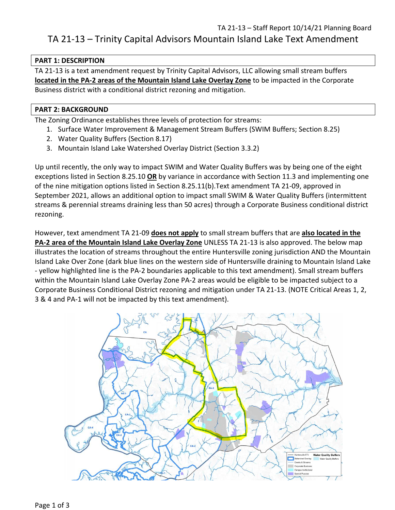# TA 21-13 – Staff Report 10/14/21 Planning Board TA 21-13 – Trinity Capital Advisors Mountain Island Lake Text Amendment

# **PART 1: DESCRIPTION**

TA 21-13 is a text amendment request by Trinity Capital Advisors, LLC allowing small stream buffers **located in the PA-2 areas of the Mountain Island Lake Overlay Zone** to be impacted in the Corporate Business district with a conditional district rezoning and mitigation.

# **PART 2: BACKGROUND**

The Zoning Ordinance establishes three levels of protection for streams:

- 1. Surface Water Improvement & Management Stream Buffers (SWIM Buffers; Section 8.25)
- 2. Water Quality Buffers (Section 8.17)
- 3. Mountain Island Lake Watershed Overlay District (Section 3.3.2)

Up until recently, the only way to impact SWIM and Water Quality Buffers was by being one of the eight exceptions listed in Section 8.25.10 **OR** by variance in accordance with Section 11.3 and implementing one of the nine mitigation options listed in Section 8.25.11(b).Text amendment TA 21-09, approved in September 2021, allows an additional option to impact small SWIM & Water Quality Buffers (intermittent streams & perennial streams draining less than 50 acres) through a Corporate Business conditional district rezoning.

However, text amendment TA 21-09 **does not apply** to small stream buffers that are **also located in the PA-2 area of the Mountain Island Lake Overlay Zone** UNLESS TA 21-13 is also approved. The below map illustrates the location of streams throughout the entire Huntersville zoning jurisdiction AND the Mountain Island Lake Over Zone (dark blue lines on the western side of Huntersville draining to Mountain Island Lake - yellow highlighted line is the PA-2 boundaries applicable to this text amendment). Small stream buffers within the Mountain Island Lake Overlay Zone PA-2 areas would be eligible to be impacted subject to a Corporate Business Conditional District rezoning and mitigation under TA 21-13. (NOTE Critical Areas 1, 2, 3 & 4 and PA-1 will not be impacted by this text amendment).

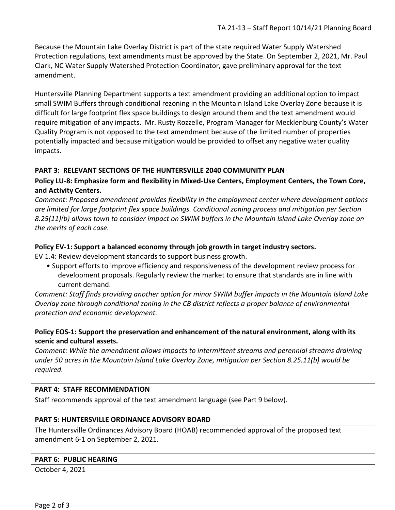Because the Mountain Lake Overlay District is part of the state required Water Supply Watershed Protection regulations, text amendments must be approved by the State. On September 2, 2021, Mr. Paul Clark, NC Water Supply Watershed Protection Coordinator, gave preliminary approval for the text amendment.

Huntersville Planning Department supports a text amendment providing an additional option to impact small SWIM Buffers through conditional rezoning in the Mountain Island Lake Overlay Zone because it is difficult for large footprint flex space buildings to design around them and the text amendment would require mitigation of any impacts. Mr. Rusty Rozzelle, Program Manager for Mecklenburg County's Water Quality Program is not opposed to the text amendment because of the limited number of properties potentially impacted and because mitigation would be provided to offset any negative water quality impacts.

# **PART 3: RELEVANT SECTIONS OF THE HUNTERSVILLE 2040 COMMUNITY PLAN**

**Policy LU-8: Emphasize form and flexibility in Mixed-Use Centers, Employment Centers, the Town Core, and Activity Centers.** 

*Comment: Proposed amendment provides flexibility in the employment center where development options are limited for large footprint flex space buildings. Conditional zoning process and mitigation per Section 8.25(11)(b) allows town to consider impact on SWIM buffers in the Mountain Island Lake Overlay zone on the merits of each case.*

# **Policy EV-1: Support a balanced economy through job growth in target industry sectors.**

EV 1.4: Review development standards to support business growth.

• Support efforts to improve efficiency and responsiveness of the development review process for development proposals. Regularly review the market to ensure that standards are in line with current demand.

*Comment: Staff finds providing another option for minor SWIM buffer impacts in the Mountain Island Lake Overlay zone through conditional zoning in the CB district reflects a proper balance of environmental protection and economic development.*

# **Policy EOS-1: Support the preservation and enhancement of the natural environment, along with its scenic and cultural assets.**

*Comment: While the amendment allows impacts to intermittent streams and perennial streams draining under 50 acres in the Mountain Island Lake Overlay Zone, mitigation per Section 8.25.11(b) would be required.*

#### **PART 4: STAFF RECOMMENDATION**

Staff recommends approval of the text amendment language (see Part 9 below).

#### **PART 5: HUNTERSVILLE ORDINANCE ADVISORY BOARD**

The Huntersville Ordinances Advisory Board (HOAB) recommended approval of the proposed text amendment 6-1 on September 2, 2021.

#### **PART 6: PUBLIC HEARING**

October 4, 2021